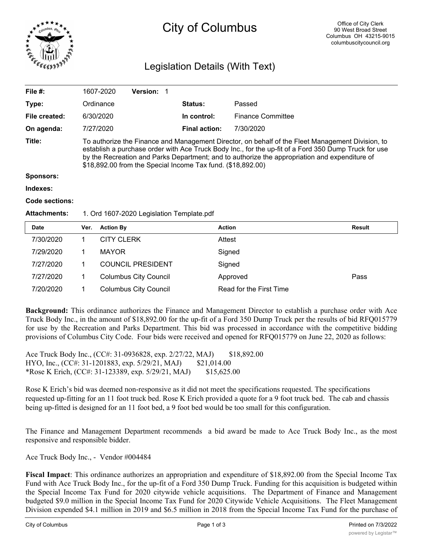

# City of Columbus

## Legislation Details (With Text)

| File $#$ :            | 1607-2020                                                                                                                                                                                                                                                                                                                                                                | <b>Version: 1</b> |  |                      |                          |  |  |
|-----------------------|--------------------------------------------------------------------------------------------------------------------------------------------------------------------------------------------------------------------------------------------------------------------------------------------------------------------------------------------------------------------------|-------------------|--|----------------------|--------------------------|--|--|
| Type:                 | Ordinance                                                                                                                                                                                                                                                                                                                                                                |                   |  | <b>Status:</b>       | Passed                   |  |  |
| File created:         | 6/30/2020                                                                                                                                                                                                                                                                                                                                                                |                   |  | In control:          | <b>Finance Committee</b> |  |  |
| On agenda:            | 7/27/2020                                                                                                                                                                                                                                                                                                                                                                |                   |  | <b>Final action:</b> | 7/30/2020                |  |  |
| Title:                | To authorize the Finance and Management Director, on behalf of the Fleet Management Division, to<br>establish a purchase order with Ace Truck Body Inc., for the up-fit of a Ford 350 Dump Truck for use<br>by the Recreation and Parks Department; and to authorize the appropriation and expenditure of<br>\$18,892.00 from the Special Income Tax fund. (\$18,892.00) |                   |  |                      |                          |  |  |
| Sponsors:             |                                                                                                                                                                                                                                                                                                                                                                          |                   |  |                      |                          |  |  |
| Indexes:              |                                                                                                                                                                                                                                                                                                                                                                          |                   |  |                      |                          |  |  |
| <b>Code sections:</b> |                                                                                                                                                                                                                                                                                                                                                                          |                   |  |                      |                          |  |  |
| <b>Attachments:</b>   | 1. Ord 1607-2020 Legislation Template.pdf                                                                                                                                                                                                                                                                                                                                |                   |  |                      |                          |  |  |

| <b>Date</b> | Ver. | <b>Action By</b>             | <b>Action</b>           | <b>Result</b> |
|-------------|------|------------------------------|-------------------------|---------------|
| 7/30/2020   |      | <b>CITY CLERK</b>            | Attest                  |               |
| 7/29/2020   |      | MAYOR                        | Signed                  |               |
| 7/27/2020   |      | <b>COUNCIL PRESIDENT</b>     | Signed                  |               |
| 7/27/2020   |      | <b>Columbus City Council</b> | Approved                | Pass          |
| 7/20/2020   |      | <b>Columbus City Council</b> | Read for the First Time |               |

**Background:** This ordinance authorizes the Finance and Management Director to establish a purchase order with Ace Truck Body Inc., in the amount of \$18,892.00 for the up-fit of a Ford 350 Dump Truck per the results of bid RFQ015779 for use by the Recreation and Parks Department. This bid was processed in accordance with the competitive bidding provisions of Columbus City Code. Four bids were received and opened for RFQ015779 on June 22, 2020 as follows:

Ace Truck Body Inc., (CC#: 31-0936828, exp. 2/27/22, MAJ) \$18,892.00 HYO, Inc., (CC#: 31-1201883, exp. 5/29/21, MAJ) \$21,014.00 \*Rose K Erich, (CC#: 31-123389, exp. 5/29/21, MAJ) \$15,625.00

Rose K Erich's bid was deemed non-responsive as it did not meet the specifications requested. The specifications requested up-fitting for an 11 foot truck bed. Rose K Erich provided a quote for a 9 foot truck bed. The cab and chassis being up-fitted is designed for an 11 foot bed, a 9 foot bed would be too small for this configuration.

The Finance and Management Department recommends a bid award be made to Ace Truck Body Inc., as the most responsive and responsible bidder.

Ace Truck Body Inc., - Vendor #004484

**Fiscal Impact**: This ordinance authorizes an appropriation and expenditure of \$18,892.00 from the Special Income Tax Fund with Ace Truck Body Inc., for the up-fit of a Ford 350 Dump Truck. Funding for this acquisition is budgeted within the Special Income Tax Fund for 2020 citywide vehicle acquisitions. The Department of Finance and Management budgeted \$9.0 million in the Special Income Tax Fund for 2020 Citywide Vehicle Acquisitions. The Fleet Management Division expended \$4.1 million in 2019 and \$6.5 million in 2018 from the Special Income Tax Fund for the purchase of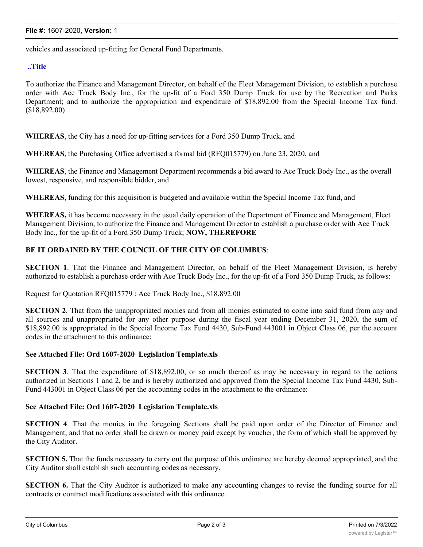vehicles and associated up-fitting for General Fund Departments.

#### **..Title**

To authorize the Finance and Management Director, on behalf of the Fleet Management Division, to establish a purchase order with Ace Truck Body Inc., for the up-fit of a Ford 350 Dump Truck for use by the Recreation and Parks Department; and to authorize the appropriation and expenditure of \$18,892.00 from the Special Income Tax fund. (\$18,892.00)

**WHEREAS**, the City has a need for up-fitting services for a Ford 350 Dump Truck, and

**WHEREAS**, the Purchasing Office advertised a formal bid (RFQ015779) on June 23, 2020, and

**WHEREAS**, the Finance and Management Department recommends a bid award to Ace Truck Body Inc., as the overall lowest, responsive, and responsible bidder, and

**WHEREAS**, funding for this acquisition is budgeted and available within the Special Income Tax fund, and

**WHEREAS,** it has become necessary in the usual daily operation of the Department of Finance and Management, Fleet Management Division, to authorize the Finance and Management Director to establish a purchase order with Ace Truck Body Inc., for the up-fit of a Ford 350 Dump Truck; **NOW, THEREFORE**

#### **BE IT ORDAINED BY THE COUNCIL OF THE CITY OF COLUMBUS**:

**SECTION 1**. That the Finance and Management Director, on behalf of the Fleet Management Division, is hereby authorized to establish a purchase order with Ace Truck Body Inc., for the up-fit of a Ford 350 Dump Truck, as follows:

Request for Quotation RFQ015779 : Ace Truck Body Inc., \$18,892.00

**SECTION 2**. That from the unappropriated monies and from all monies estimated to come into said fund from any and all sources and unappropriated for any other purpose during the fiscal year ending December 31, 2020, the sum of \$18,892.00 is appropriated in the Special Income Tax Fund 4430, Sub-Fund 443001 in Object Class 06, per the account codes in the attachment to this ordinance:

#### **See Attached File: Ord 1607-2020 Legislation Template.xls**

**SECTION 3**. That the expenditure of \$18,892.00, or so much thereof as may be necessary in regard to the actions authorized in Sections 1 and 2, be and is hereby authorized and approved from the Special Income Tax Fund 4430, Sub-Fund 443001 in Object Class 06 per the accounting codes in the attachment to the ordinance:

#### **See Attached File: Ord 1607-2020 Legislation Template.xls**

**SECTION 4**. That the monies in the foregoing Sections shall be paid upon order of the Director of Finance and Management, and that no order shall be drawn or money paid except by voucher, the form of which shall be approved by the City Auditor.

**SECTION 5.** That the funds necessary to carry out the purpose of this ordinance are hereby deemed appropriated, and the City Auditor shall establish such accounting codes as necessary.

**SECTION 6.** That the City Auditor is authorized to make any accounting changes to revise the funding source for all contracts or contract modifications associated with this ordinance.